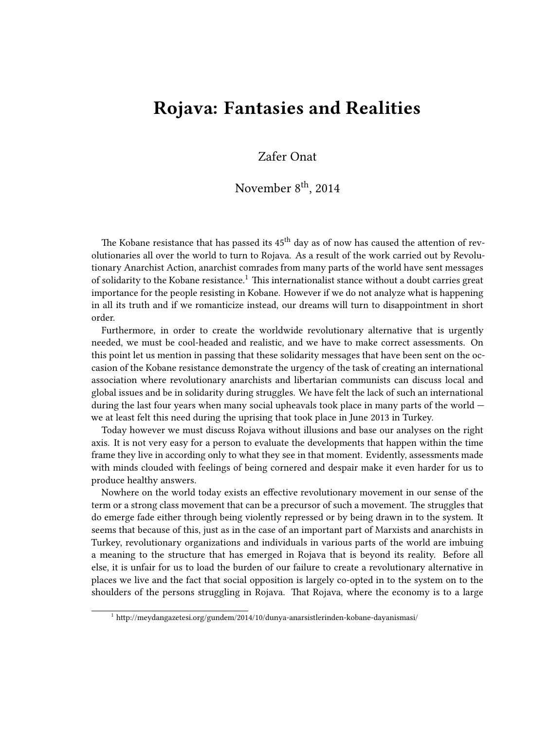## **Rojava: Fantasies and Realities**

## Zafer Onat

## November 8<sup>th</sup>, 2014

The Kobane resistance that has passed its  $45<sup>th</sup>$  day as of now has caused the attention of revolutionaries all over the world to turn to Rojava. As a result of the work carried out by Revolutionary Anarchist Action, anarchist comrades from many parts of the world have sent messages of solidarity to the Kobane resistance.<sup>1</sup> This internationalist stance without a doubt carries great importance for the people resisting in Kobane. However if we do not analyze what is happening in all its truth and if we romanticize instead, our dreams will turn to disappointment in short order.

Furthermore, in order to create the worldwide revolutionary alternative that is urgently needed, we must be cool-headed and realistic, and we have to make correct assessments. On this point let us mention in passing that these solidarity messages that have been sent on the occasion of the Kobane resistance demonstrate the urgency of the task of creating an international association where revolutionary anarchists and libertarian communists can discuss local and global issues and be in solidarity during struggles. We have felt the lack of such an international during the last four years when many social upheavals took place in many parts of the world we at least felt this need during the uprising that took place in June 2013 in Turkey.

Today however we must discuss Rojava without illusions and base our analyses on the right axis. It is not very easy for a person to evaluate the developments that happen within the time frame they live in according only to what they see in that moment. Evidently, assessments made with minds clouded with feelings of being cornered and despair make it even harder for us to produce healthy answers.

Nowhere on the world today exists an effective revolutionary movement in our sense of the term or a strong class movement that can be a precursor of such a movement. The struggles that do emerge fade either through being violently repressed or by being drawn in to the system. It seems that because of this, just as in the case of an important part of Marxists and anarchists in Turkey, revolutionary organizations and individuals in various parts of the world are imbuing a meaning to the structure that has emerged in Rojava that is beyond its reality. Before all else, it is unfair for us to load the burden of our failure to create a revolutionary alternative in places we live and the fact that social opposition is largely co-opted in to the system on to the shoulders of the persons struggling in Rojava. That Rojava, where the economy is to a large

<sup>&</sup>lt;sup>1</sup> http://meydangazetesi.org/gundem/2014/10/dunya-anarsistlerinden-kobane-dayanismasi/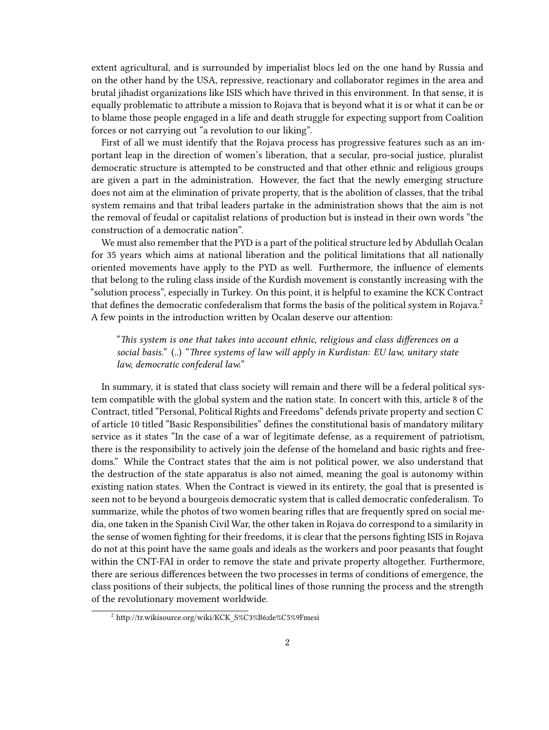extent agricultural, and is surrounded by imperialist blocs led on the one hand by Russia and on the other hand by the USA, repressive, reactionary and collaborator regimes in the area and brutal jihadist organizations like ISIS which have thrived in this environment. In that sense, it is equally problematic to attribute a mission to Rojava that is beyond what it is or what it can be or to blame those people engaged in a life and death struggle for expecting support from Coalition forces or not carrying out "a revolution to our liking".

First of all we must identify that the Rojava process has progressive features such as an important leap in the direction of women's liberation, that a secular, pro-social justice, pluralist democratic structure is attempted to be constructed and that other ethnic and religious groups are given a part in the administration. However, the fact that the newly emerging structure does not aim at the elimination of private property, that is the abolition of classes, that the tribal system remains and that tribal leaders partake in the administration shows that the aim is not the removal of feudal or capitalist relations of production but is instead in their own words "the construction of a democratic nation".

We must also remember that the PYD is a part of the political structure led by Abdullah Ocalan for 35 years which aims at national liberation and the political limitations that all nationally oriented movements have apply to the PYD as well. Furthermore, the influence of elements that belong to the ruling class inside of the Kurdish movement is constantly increasing with the "solution process", especially in Turkey. On this point, it is helpful to examine the KCK Contract that defines the democratic confederalism that forms the basis of the political system in Rojava.<sup>2</sup> A few points in the introduction written by Ocalan deserve our attention:

"*This system is one that takes into account ethnic, religious and class differences on a social basis.*" (..) "*Three systems of law will apply in Kurdistan: EU law, unitary state law, democratic confederal law.*"

In summary, it is stated that class society will remain and there will be a federal political system compatible with the global system and the nation state. In concert with this, article 8 of the Contract, titled "Personal, Political Rights and Freedoms" defends private property and section C of article 10 titled "Basic Responsibilities" defines the constitutional basis of mandatory military service as it states "In the case of a war of legitimate defense, as a requirement of patriotism, there is the responsibility to actively join the defense of the homeland and basic rights and freedoms." While the Contract states that the aim is not political power, we also understand that the destruction of the state apparatus is also not aimed, meaning the goal is autonomy within existing nation states. When the Contract is viewed in its entirety, the goal that is presented is seen not to be beyond a bourgeois democratic system that is called democratic confederalism. To summarize, while the photos of two women bearing rifles that are frequently spred on social media, one taken in the Spanish Civil War, the other taken in Rojava do correspond to a similarity in the sense of women fighting for their freedoms, it is clear that the persons fighting ISIS in Rojava do not at this point have the same goals and ideals as the workers and poor peasants that fought within the CNT-FAI in order to remove the state and private property altogether. Furthermore, there are serious differences between the two processes in terms of conditions of emergence, the class positions of their subjects, the political lines of those running the process and the strength of the revolutionary movement worldwide.

<sup>2</sup> http://tr.wikisource.org/wiki/KCK\_S%C3%B6zle%C5%9Fmesi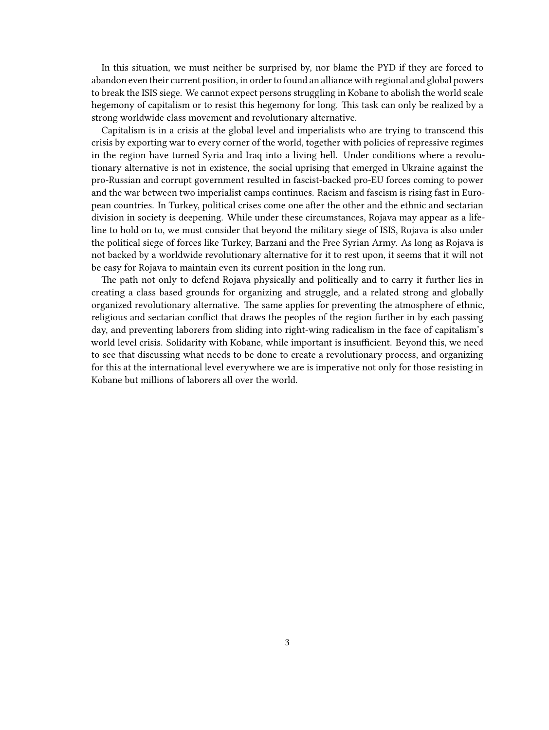In this situation, we must neither be surprised by, nor blame the PYD if they are forced to abandon even their current position, in order to found an alliance with regional and global powers to break the ISIS siege. We cannot expect persons struggling in Kobane to abolish the world scale hegemony of capitalism or to resist this hegemony for long. This task can only be realized by a strong worldwide class movement and revolutionary alternative.

Capitalism is in a crisis at the global level and imperialists who are trying to transcend this crisis by exporting war to every corner of the world, together with policies of repressive regimes in the region have turned Syria and Iraq into a living hell. Under conditions where a revolutionary alternative is not in existence, the social uprising that emerged in Ukraine against the pro-Russian and corrupt government resulted in fascist-backed pro-EU forces coming to power and the war between two imperialist camps continues. Racism and fascism is rising fast in European countries. In Turkey, political crises come one after the other and the ethnic and sectarian division in society is deepening. While under these circumstances, Rojava may appear as a lifeline to hold on to, we must consider that beyond the military siege of ISIS, Rojava is also under the political siege of forces like Turkey, Barzani and the Free Syrian Army. As long as Rojava is not backed by a worldwide revolutionary alternative for it to rest upon, it seems that it will not be easy for Rojava to maintain even its current position in the long run.

The path not only to defend Rojava physically and politically and to carry it further lies in creating a class based grounds for organizing and struggle, and a related strong and globally organized revolutionary alternative. The same applies for preventing the atmosphere of ethnic, religious and sectarian conflict that draws the peoples of the region further in by each passing day, and preventing laborers from sliding into right-wing radicalism in the face of capitalism's world level crisis. Solidarity with Kobane, while important is insufficient. Beyond this, we need to see that discussing what needs to be done to create a revolutionary process, and organizing for this at the international level everywhere we are is imperative not only for those resisting in Kobane but millions of laborers all over the world.